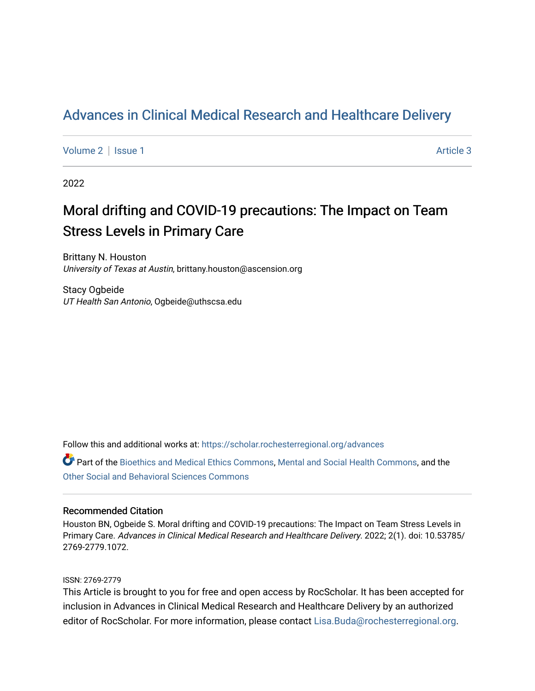## Adv[ances in Clinical Medical Research and Healthcar](https://scholar.rochesterregional.org/advances)e Delivery

[Volume 2](https://scholar.rochesterregional.org/advances/vol2) | [Issue 1](https://scholar.rochesterregional.org/advances/vol2/iss1) Article 3

2022

# Moral drifting and COVID-19 precautions: The Impact on Team Stress Levels in Primary Care

Brittany N. Houston University of Texas at Austin, brittany.houston@ascension.org

Stacy Ogbeide UT Health San Antonio, Ogbeide@uthscsa.edu

Follow this and additional works at: [https://scholar.rochesterregional.org/advances](https://scholar.rochesterregional.org/advances?utm_source=scholar.rochesterregional.org%2Fadvances%2Fvol2%2Fiss1%2F3&utm_medium=PDF&utm_campaign=PDFCoverPages) 

Part of the [Bioethics and Medical Ethics Commons,](http://network.bepress.com/hgg/discipline/650?utm_source=scholar.rochesterregional.org%2Fadvances%2Fvol2%2Fiss1%2F3&utm_medium=PDF&utm_campaign=PDFCoverPages) [Mental and Social Health Commons,](http://network.bepress.com/hgg/discipline/709?utm_source=scholar.rochesterregional.org%2Fadvances%2Fvol2%2Fiss1%2F3&utm_medium=PDF&utm_campaign=PDFCoverPages) and the [Other Social and Behavioral Sciences Commons](http://network.bepress.com/hgg/discipline/437?utm_source=scholar.rochesterregional.org%2Fadvances%2Fvol2%2Fiss1%2F3&utm_medium=PDF&utm_campaign=PDFCoverPages) 

#### Recommended Citation

Houston BN, Ogbeide S. Moral drifting and COVID-19 precautions: The Impact on Team Stress Levels in Primary Care. Advances in Clinical Medical Research and Healthcare Delivery. 2022; 2(1). doi: 10.53785/ 2769-2779.1072.

#### ISSN: 2769-2779

This Article is brought to you for free and open access by RocScholar. It has been accepted for inclusion in Advances in Clinical Medical Research and Healthcare Delivery by an authorized editor of RocScholar. For more information, please contact [Lisa.Buda@rochesterregional.org](mailto:Lisa.Buda@rochesterregional.org).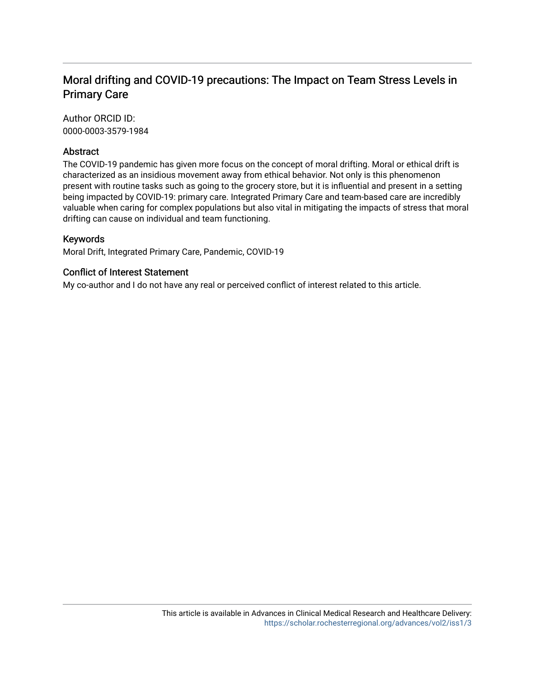### Moral drifting and COVID-19 precautions: The Impact on Team Stress Levels in Primary Care

Author ORCID ID: 0000-0003-3579-1984

#### Abstract

The COVID-19 pandemic has given more focus on the concept of moral drifting. Moral or ethical drift is characterized as an insidious movement away from ethical behavior. Not only is this phenomenon present with routine tasks such as going to the grocery store, but it is influential and present in a setting being impacted by COVID-19: primary care. Integrated Primary Care and team-based care are incredibly valuable when caring for complex populations but also vital in mitigating the impacts of stress that moral drifting can cause on individual and team functioning.

#### Keywords

Moral Drift, Integrated Primary Care, Pandemic, COVID-19

#### Conflict of Interest Statement

My co-author and I do not have any real or perceived conflict of interest related to this article.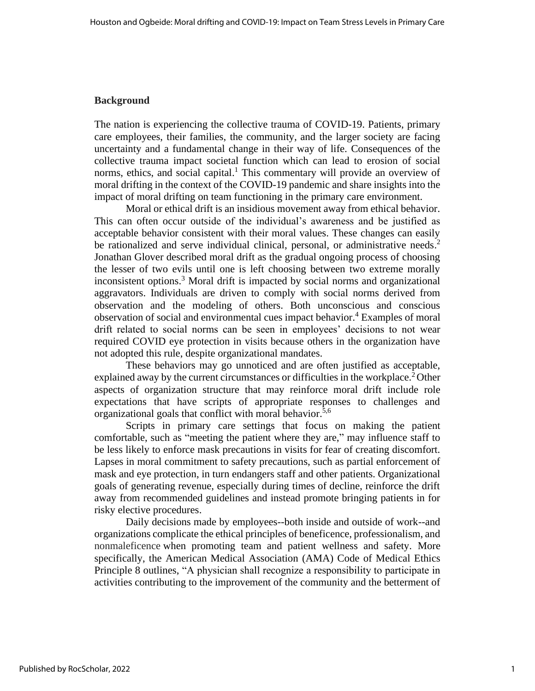#### **Background**

The nation is experiencing the collective trauma of COVID-19. Patients, primary care employees, their families, the community, and the larger society are facing uncertainty and a fundamental change in their way of life. Consequences of the collective trauma impact societal function which can lead to erosion of social norms, ethics, and social capital.<sup>1</sup> This commentary will provide an overview of moral drifting in the context of the COVID-19 pandemic and share insights into the impact of moral drifting on team functioning in the primary care environment.

Moral or ethical drift is an insidious movement away from ethical behavior. This can often occur outside of the individual's awareness and be justified as acceptable behavior consistent with their moral values. These changes can easily be rationalized and serve individual clinical, personal, or administrative needs.<sup>2</sup> Jonathan Glover described moral drift as the gradual ongoing process of choosing the lesser of two evils until one is left choosing between two extreme morally inconsistent options. <sup>3</sup> Moral drift is impacted by social norms and organizational aggravators. Individuals are driven to comply with social norms derived from observation and the modeling of others. Both unconscious and conscious observation of social and environmental cues impact behavior.<sup>4</sup> Examples of moral drift related to social norms can be seen in employees' decisions to not wear required COVID eye protection in visits because others in the organization have not adopted this rule, despite organizational mandates.

These behaviors may go unnoticed and are often justified as acceptable, explained away by the current circumstances or difficulties in the workplace.<sup>2</sup> Other aspects of organization structure that may reinforce moral drift include role expectations that have scripts of appropriate responses to challenges and organizational goals that conflict with moral behavior.<sup>5,6</sup>

Scripts in primary care settings that focus on making the patient comfortable, such as "meeting the patient where they are," may influence staff to be less likely to enforce mask precautions in visits for fear of creating discomfort. Lapses in moral commitment to safety precautions, such as partial enforcement of mask and eye protection, in turn endangers staff and other patients. Organizational goals of generating revenue, especially during times of decline, reinforce the drift away from recommended guidelines and instead promote bringing patients in for risky elective procedures.

Daily decisions made by employees--both inside and outside of work--and organizations complicate the ethical principles of beneficence, professionalism, and nonmaleficence when promoting team and patient wellness and safety. More specifically, the American Medical Association (AMA) Code of Medical Ethics Principle 8 outlines, "A physician shall recognize a responsibility to participate in activities contributing to the improvement of the community and the betterment of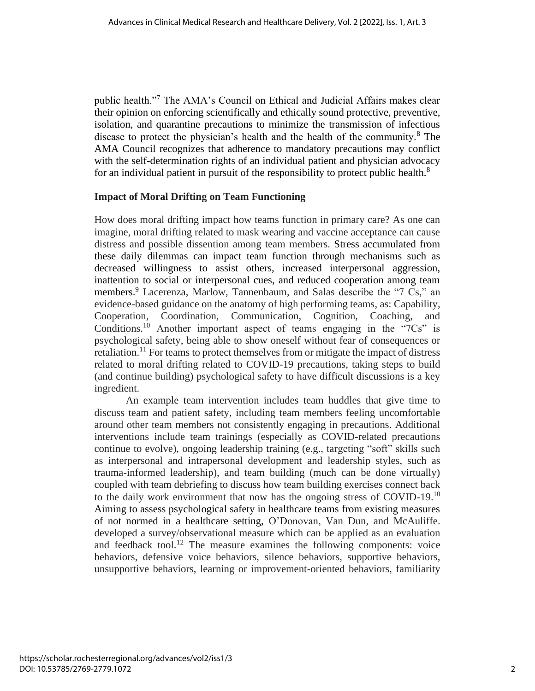public health."<sup>7</sup> The AMA's Council on Ethical and Judicial Affairs makes clear their opinion on enforcing scientifically and ethically sound protective, preventive, isolation, and quarantine precautions to minimize the transmission of infectious disease to protect the physician's health and the health of the community.<sup>8</sup> The AMA Council recognizes that adherence to mandatory precautions may conflict with the self-determination rights of an individual patient and physician advocacy for an individual patient in pursuit of the responsibility to protect public health.<sup>8</sup>

#### **Impact of Moral Drifting on Team Functioning**

How does moral drifting impact how teams function in primary care? As one can imagine, moral drifting related to mask wearing and vaccine acceptance can cause distress and possible dissention among team members. Stress accumulated from these daily dilemmas can impact team function through mechanisms such as decreased willingness to assist others, increased interpersonal aggression, inattention to social or interpersonal cues, and reduced cooperation among team members. <sup>9</sup> Lacerenza, Marlow, Tannenbaum, and Salas describe the "7 Cs," an evidence-based guidance on the anatomy of high performing teams, as: Capability, Cooperation, Coordination, Communication, Cognition, Coaching, and Conditions.<sup>10</sup> Another important aspect of teams engaging in the " $7Cs$ " is psychological safety, being able to show oneself without fear of consequences or retaliation.<sup>11</sup> For teams to protect themselves from or mitigate the impact of distress related to moral drifting related to COVID-19 precautions, taking steps to build (and continue building) psychological safety to have difficult discussions is a key ingredient.

An example team intervention includes team huddles that give time to discuss team and patient safety, including team members feeling uncomfortable around other team members not consistently engaging in precautions. Additional interventions include team trainings (especially as COVID-related precautions continue to evolve), ongoing leadership training (e.g., targeting "soft" skills such as interpersonal and intrapersonal development and leadership styles, such as trauma-informed leadership), and team building (much can be done virtually) coupled with team debriefing to discuss how team building exercises connect back to the daily work environment that now has the ongoing stress of  $\text{COVID-19}.^{10}$ Aiming to assess psychological safety in healthcare teams from existing measures of not normed in a healthcare setting, O'Donovan, Van Dun, and McAuliffe. developed a survey/observational measure which can be applied as an evaluation and feedback tool.<sup>12</sup> The measure examines the following components: voice behaviors, defensive voice behaviors, silence behaviors, supportive behaviors, unsupportive behaviors, learning or improvement-oriented behaviors, familiarity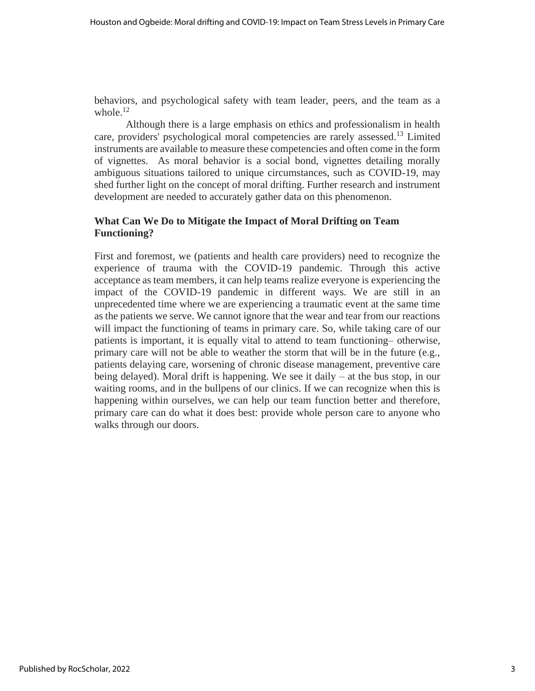behaviors, and psychological safety with team leader, peers, and the team as a whole $^{12}$ 

Although there is a large emphasis on ethics and professionalism in health care, providers' psychological moral competencies are rarely assessed. <sup>13</sup> Limited instruments are available to measure these competencies and often come in the form of vignettes. As moral behavior is a social bond, vignettes detailing morally ambiguous situations tailored to unique circumstances, such as COVID-19, may shed further light on the concept of moral drifting. Further research and instrument development are needed to accurately gather data on this phenomenon.

#### **What Can We Do to Mitigate the Impact of Moral Drifting on Team Functioning?**

First and foremost, we (patients and health care providers) need to recognize the experience of trauma with the COVID-19 pandemic. Through this active acceptance as team members, it can help teams realize everyone is experiencing the impact of the COVID-19 pandemic in different ways. We are still in an unprecedented time where we are experiencing a traumatic event at the same time as the patients we serve. We cannot ignore that the wear and tear from our reactions will impact the functioning of teams in primary care. So, while taking care of our patients is important, it is equally vital to attend to team functioning– otherwise, primary care will not be able to weather the storm that will be in the future (e.g., patients delaying care, worsening of chronic disease management, preventive care being delayed). Moral drift is happening. We see it daily – at the bus stop, in our waiting rooms, and in the bullpens of our clinics. If we can recognize when this is happening within ourselves, we can help our team function better and therefore, primary care can do what it does best: provide whole person care to anyone who walks through our doors.